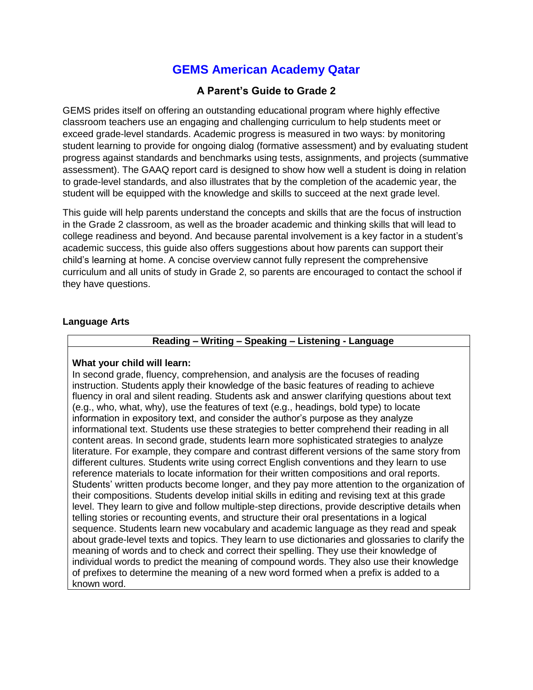# **GEMS American Academy Qatar**

# **A Parent's Guide to Grade 2**

GEMS prides itself on offering an outstanding educational program where highly effective classroom teachers use an engaging and challenging curriculum to help students meet or exceed grade-level standards. Academic progress is measured in two ways: by monitoring student learning to provide for ongoing dialog (formative assessment) and by evaluating student progress against standards and benchmarks using tests, assignments, and projects (summative assessment). The GAAQ report card is designed to show how well a student is doing in relation to grade-level standards, and also illustrates that by the completion of the academic year, the student will be equipped with the knowledge and skills to succeed at the next grade level.

This guide will help parents understand the concepts and skills that are the focus of instruction in the Grade 2 classroom, as well as the broader academic and thinking skills that will lead to college readiness and beyond. And because parental involvement is a key factor in a student's academic success, this guide also offers suggestions about how parents can support their child's learning at home. A concise overview cannot fully represent the comprehensive curriculum and all units of study in Grade 2, so parents are encouraged to contact the school if they have questions.

## **Language Arts**

# **Reading – Writing – Speaking – Listening - Language**

## **What your child will learn:**

In second grade, fluency, comprehension, and analysis are the focuses of reading instruction. Students apply their knowledge of the basic features of reading to achieve fluency in oral and silent reading. Students ask and answer clarifying questions about text (e.g., who, what, why), use the features of text (e.g., headings, bold type) to locate information in expository text, and consider the author's purpose as they analyze informational text. Students use these strategies to better comprehend their reading in all content areas. In second grade, students learn more sophisticated strategies to analyze literature. For example, they compare and contrast different versions of the same story from different cultures. Students write using correct English conventions and they learn to use reference materials to locate information for their written compositions and oral reports. Students' written products become longer, and they pay more attention to the organization of their compositions. Students develop initial skills in editing and revising text at this grade level. They learn to give and follow multiple-step directions, provide descriptive details when telling stories or recounting events, and structure their oral presentations in a logical sequence. Students learn new vocabulary and academic language as they read and speak about grade-level texts and topics. They learn to use dictionaries and glossaries to clarify the meaning of words and to check and correct their spelling. They use their knowledge of individual words to predict the meaning of compound words. They also use their knowledge of prefixes to determine the meaning of a new word formed when a prefix is added to a known word.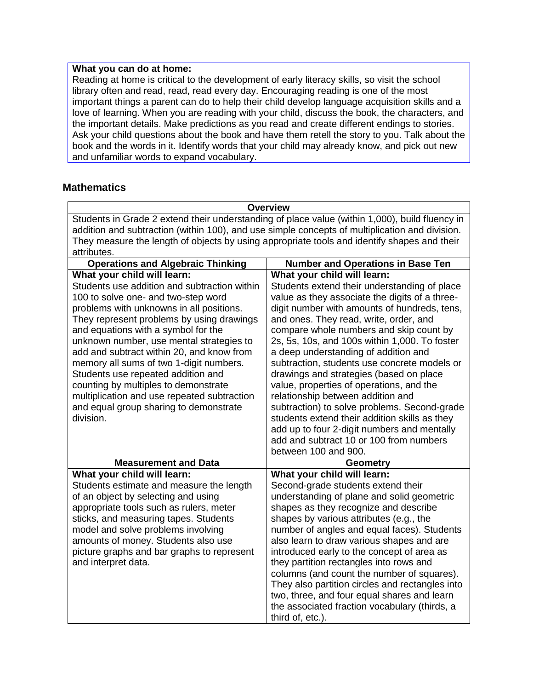# **What you can do at home:**

Reading at home is critical to the development of early literacy skills, so visit the school library often and read, read, read every day. Encouraging reading is one of the most important things a parent can do to help their child develop language acquisition skills and a love of learning. When you are reading with your child, discuss the book, the characters, and the important details. Make predictions as you read and create different endings to stories. Ask your child questions about the book and have them retell the story to you. Talk about the book and the words in it. Identify words that your child may already know, and pick out new and unfamiliar words to expand vocabulary.

# **Mathematics**

| <b>Overview</b>                                                                                |                                                                               |
|------------------------------------------------------------------------------------------------|-------------------------------------------------------------------------------|
| Students in Grade 2 extend their understanding of place value (within 1,000), build fluency in |                                                                               |
| addition and subtraction (within 100), and use simple concepts of multiplication and division. |                                                                               |
| They measure the length of objects by using appropriate tools and identify shapes and their    |                                                                               |
| attributes.                                                                                    |                                                                               |
| <b>Operations and Algebraic Thinking</b>                                                       | <b>Number and Operations in Base Ten</b>                                      |
| What your child will learn:                                                                    | What your child will learn:                                                   |
| Students use addition and subtraction within                                                   | Students extend their understanding of place                                  |
| 100 to solve one- and two-step word                                                            | value as they associate the digits of a three-                                |
| problems with unknowns in all positions.                                                       | digit number with amounts of hundreds, tens,                                  |
| They represent problems by using drawings                                                      | and ones. They read, write, order, and                                        |
| and equations with a symbol for the                                                            | compare whole numbers and skip count by                                       |
| unknown number, use mental strategies to                                                       | 2s, 5s, 10s, and 100s within 1,000. To foster                                 |
| add and subtract within 20, and know from                                                      | a deep understanding of addition and                                          |
| memory all sums of two 1-digit numbers.                                                        | subtraction, students use concrete models or                                  |
| Students use repeated addition and                                                             | drawings and strategies (based on place                                       |
| counting by multiples to demonstrate<br>multiplication and use repeated subtraction            | value, properties of operations, and the<br>relationship between addition and |
| and equal group sharing to demonstrate                                                         | subtraction) to solve problems. Second-grade                                  |
| division.                                                                                      | students extend their addition skills as they                                 |
|                                                                                                | add up to four 2-digit numbers and mentally                                   |
|                                                                                                | add and subtract 10 or 100 from numbers                                       |
|                                                                                                | between 100 and 900.                                                          |
| <b>Measurement and Data</b>                                                                    | <b>Geometry</b>                                                               |
| What your child will learn:                                                                    | What your child will learn:                                                   |
| Students estimate and measure the length                                                       | Second-grade students extend their                                            |
| of an object by selecting and using                                                            | understanding of plane and solid geometric                                    |
| appropriate tools such as rulers, meter                                                        | shapes as they recognize and describe                                         |
| sticks, and measuring tapes. Students                                                          | shapes by various attributes (e.g., the                                       |
| model and solve problems involving                                                             | number of angles and equal faces). Students                                   |
| amounts of money. Students also use                                                            | also learn to draw various shapes and are                                     |
| picture graphs and bar graphs to represent                                                     | introduced early to the concept of area as                                    |
| and interpret data.                                                                            | they partition rectangles into rows and                                       |
|                                                                                                | columns (and count the number of squares).                                    |
|                                                                                                | They also partition circles and rectangles into                               |
|                                                                                                | two, three, and four equal shares and learn                                   |
|                                                                                                | the associated fraction vocabulary (thirds, a                                 |
|                                                                                                | third of, etc.).                                                              |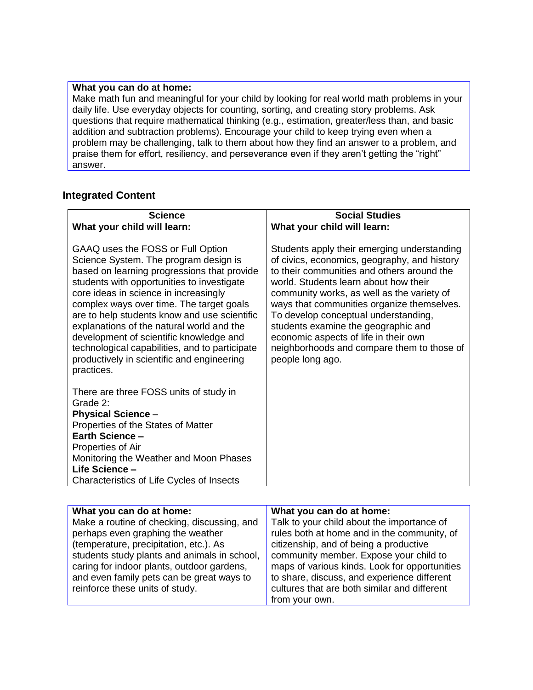## **What you can do at home:**

Make math fun and meaningful for your child by looking for real world math problems in your daily life. Use everyday objects for counting, sorting, and creating story problems. Ask questions that require mathematical thinking (e.g., estimation, greater/less than, and basic addition and subtraction problems). Encourage your child to keep trying even when a problem may be challenging, talk to them about how they find an answer to a problem, and praise them for effort, resiliency, and perseverance even if they aren't getting the "right" answer.

# **Integrated Content**

| <b>Science</b>                                                                                                                                                                                                                                                                                                                                                                                                                                                                                                     | <b>Social Studies</b>                                                                                                                                                                                                                                                                                                                                                                                                                                                    |
|--------------------------------------------------------------------------------------------------------------------------------------------------------------------------------------------------------------------------------------------------------------------------------------------------------------------------------------------------------------------------------------------------------------------------------------------------------------------------------------------------------------------|--------------------------------------------------------------------------------------------------------------------------------------------------------------------------------------------------------------------------------------------------------------------------------------------------------------------------------------------------------------------------------------------------------------------------------------------------------------------------|
| What your child will learn:                                                                                                                                                                                                                                                                                                                                                                                                                                                                                        | What your child will learn:                                                                                                                                                                                                                                                                                                                                                                                                                                              |
| GAAQ uses the FOSS or Full Option<br>Science System. The program design is<br>based on learning progressions that provide<br>students with opportunities to investigate<br>core ideas in science in increasingly<br>complex ways over time. The target goals<br>are to help students know and use scientific<br>explanations of the natural world and the<br>development of scientific knowledge and<br>technological capabilities, and to participate<br>productively in scientific and engineering<br>practices. | Students apply their emerging understanding<br>of civics, economics, geography, and history<br>to their communities and others around the<br>world. Students learn about how their<br>community works, as well as the variety of<br>ways that communities organize themselves.<br>To develop conceptual understanding,<br>students examine the geographic and<br>economic aspects of life in their own<br>neighborhoods and compare them to those of<br>people long ago. |
| There are three FOSS units of study in<br>Grade 2:<br><b>Physical Science -</b><br>Properties of the States of Matter<br><b>Earth Science -</b><br>Properties of Air<br>Monitoring the Weather and Moon Phases<br>Life Science -<br>Characteristics of Life Cycles of Insects                                                                                                                                                                                                                                      |                                                                                                                                                                                                                                                                                                                                                                                                                                                                          |

| What you can do at home:                     | What you can do at home:                      |
|----------------------------------------------|-----------------------------------------------|
| Make a routine of checking, discussing, and  | Talk to your child about the importance of    |
| perhaps even graphing the weather            | rules both at home and in the community, of   |
| (temperature, precipitation, etc.). As       | citizenship, and of being a productive        |
| students study plants and animals in school, | community member. Expose your child to        |
| caring for indoor plants, outdoor gardens,   | maps of various kinds. Look for opportunities |
| and even family pets can be great ways to    | to share, discuss, and experience different   |
| reinforce these units of study.              | cultures that are both similar and different  |
|                                              | from your own.                                |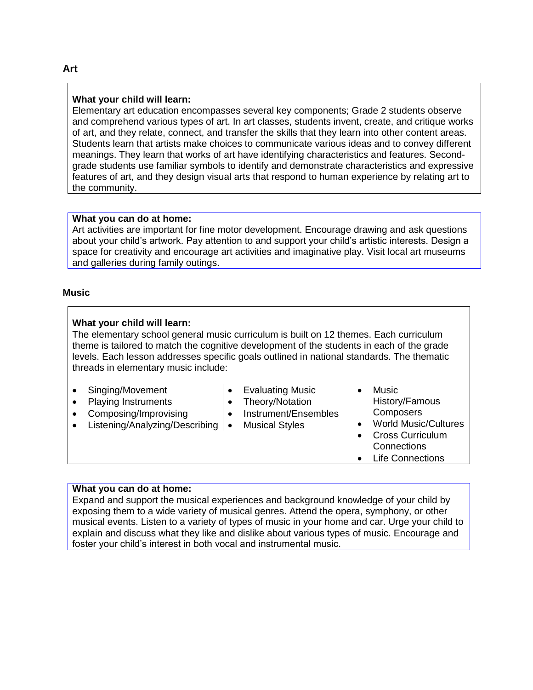## **What your child will learn:**

Elementary art education encompasses several key components; Grade 2 students observe and comprehend various types of art. In art classes, students invent, create, and critique works of art, and they relate, connect, and transfer the skills that they learn into other content areas. Students learn that artists make choices to communicate various ideas and to convey different meanings. They learn that works of art have identifying characteristics and features. Secondgrade students use familiar symbols to identify and demonstrate characteristics and expressive features of art, and they design visual arts that respond to human experience by relating art to the community.

## **What you can do at home:**

Art activities are important for fine motor development. Encourage drawing and ask questions about your child's artwork. Pay attention to and support your child's artistic interests. Design a space for creativity and encourage art activities and imaginative play. Visit local art museums and galleries during family outings.

#### **Music**

#### **What your child will learn:**

The elementary school general music curriculum is built on 12 themes. Each curriculum theme is tailored to match the cognitive development of the students in each of the grade levels. Each lesson addresses specific goals outlined in national standards. The thematic threads in elementary music include:

- Singing/Movement
- Playing Instruments
- Composing/Improvising
- Listening/Analyzing/Describing | Musical Styles
- Evaluating Music
- Theory/Notation
- Instrument/Ensembles
	-
- Music History/Famous **Composers**
- World Music/Cultures
- Cross Curriculum **Connections**
- Life Connections

## **What you can do at home:**

Expand and support the musical experiences and background knowledge of your child by exposing them to a wide variety of musical genres. Attend the opera, symphony, or other musical events. Listen to a variety of types of music in your home and car. Urge your child to explain and discuss what they like and dislike about various types of music. Encourage and foster your child's interest in both vocal and instrumental music.